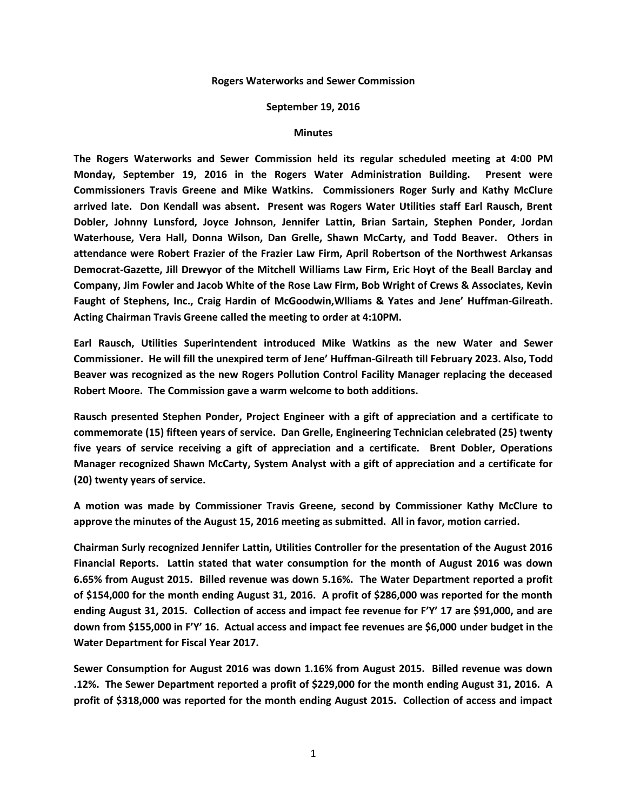## **Rogers Waterworks and Sewer Commission**

## **September 19, 2016**

## **Minutes**

**The Rogers Waterworks and Sewer Commission held its regular scheduled meeting at 4:00 PM Monday, September 19, 2016 in the Rogers Water Administration Building. Present were Commissioners Travis Greene and Mike Watkins. Commissioners Roger Surly and Kathy McClure arrived late. Don Kendall was absent. Present was Rogers Water Utilities staff Earl Rausch, Brent Dobler, Johnny Lunsford, Joyce Johnson, Jennifer Lattin, Brian Sartain, Stephen Ponder, Jordan Waterhouse, Vera Hall, Donna Wilson, Dan Grelle, Shawn McCarty, and Todd Beaver. Others in attendance were Robert Frazier of the Frazier Law Firm, April Robertson of the Northwest Arkansas Democrat-Gazette, Jill Drewyor of the Mitchell Williams Law Firm, Eric Hoyt of the Beall Barclay and Company, Jim Fowler and Jacob White of the Rose Law Firm, Bob Wright of Crews & Associates, Kevin Faught of Stephens, Inc., Craig Hardin of McGoodwin,Wlliams & Yates and Jene' Huffman-Gilreath. Acting Chairman Travis Greene called the meeting to order at 4:10PM.**

**Earl Rausch, Utilities Superintendent introduced Mike Watkins as the new Water and Sewer Commissioner. He will fill the unexpired term of Jene' Huffman-Gilreath till February 2023. Also, Todd Beaver was recognized as the new Rogers Pollution Control Facility Manager replacing the deceased Robert Moore. The Commission gave a warm welcome to both additions.**

**Rausch presented Stephen Ponder, Project Engineer with a gift of appreciation and a certificate to commemorate (15) fifteen years of service. Dan Grelle, Engineering Technician celebrated (25) twenty five years of service receiving a gift of appreciation and a certificate. Brent Dobler, Operations Manager recognized Shawn McCarty, System Analyst with a gift of appreciation and a certificate for (20) twenty years of service.**

**A motion was made by Commissioner Travis Greene, second by Commissioner Kathy McClure to approve the minutes of the August 15, 2016 meeting as submitted. All in favor, motion carried.**

**Chairman Surly recognized Jennifer Lattin, Utilities Controller for the presentation of the August 2016 Financial Reports. Lattin stated that water consumption for the month of August 2016 was down 6.65% from August 2015. Billed revenue was down 5.16%. The Water Department reported a profit of \$154,000 for the month ending August 31, 2016. A profit of \$286,000 was reported for the month ending August 31, 2015. Collection of access and impact fee revenue for F'Y' 17 are \$91,000, and are down from \$155,000 in F'Y' 16. Actual access and impact fee revenues are \$6,000 under budget in the Water Department for Fiscal Year 2017.**

**Sewer Consumption for August 2016 was down 1.16% from August 2015. Billed revenue was down .12%. The Sewer Department reported a profit of \$229,000 for the month ending August 31, 2016. A profit of \$318,000 was reported for the month ending August 2015. Collection of access and impact**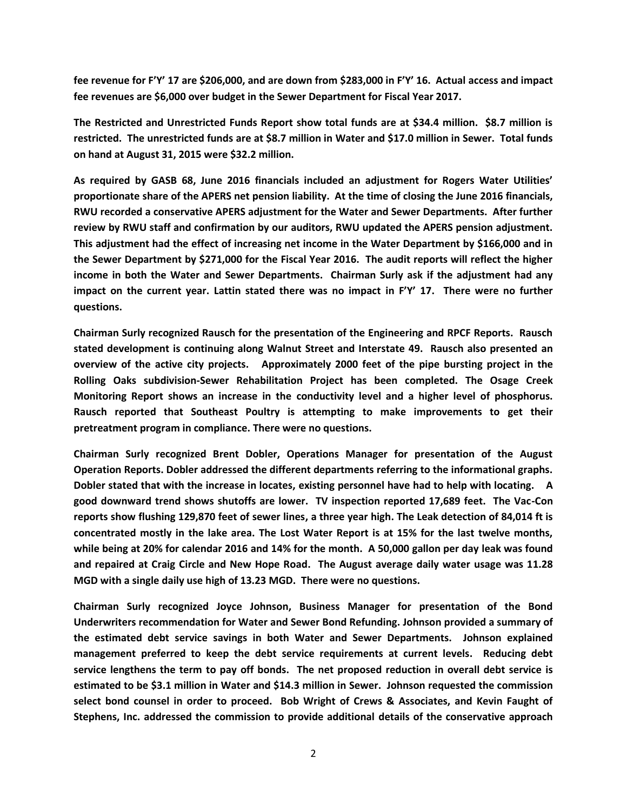**fee revenue for F'Y' 17 are \$206,000, and are down from \$283,000 in F'Y' 16. Actual access and impact fee revenues are \$6,000 over budget in the Sewer Department for Fiscal Year 2017.**

**The Restricted and Unrestricted Funds Report show total funds are at \$34.4 million. \$8.7 million is restricted. The unrestricted funds are at \$8.7 million in Water and \$17.0 million in Sewer. Total funds on hand at August 31, 2015 were \$32.2 million.**

**As required by GASB 68, June 2016 financials included an adjustment for Rogers Water Utilities' proportionate share of the APERS net pension liability. At the time of closing the June 2016 financials, RWU recorded a conservative APERS adjustment for the Water and Sewer Departments. After further review by RWU staff and confirmation by our auditors, RWU updated the APERS pension adjustment. This adjustment had the effect of increasing net income in the Water Department by \$166,000 and in the Sewer Department by \$271,000 for the Fiscal Year 2016. The audit reports will reflect the higher income in both the Water and Sewer Departments. Chairman Surly ask if the adjustment had any impact on the current year. Lattin stated there was no impact in F'Y' 17. There were no further questions.**

**Chairman Surly recognized Rausch for the presentation of the Engineering and RPCF Reports. Rausch stated development is continuing along Walnut Street and Interstate 49. Rausch also presented an overview of the active city projects. Approximately 2000 feet of the pipe bursting project in the Rolling Oaks subdivision-Sewer Rehabilitation Project has been completed. The Osage Creek Monitoring Report shows an increase in the conductivity level and a higher level of phosphorus. Rausch reported that Southeast Poultry is attempting to make improvements to get their pretreatment program in compliance. There were no questions.**

**Chairman Surly recognized Brent Dobler, Operations Manager for presentation of the August Operation Reports. Dobler addressed the different departments referring to the informational graphs. Dobler stated that with the increase in locates, existing personnel have had to help with locating. A good downward trend shows shutoffs are lower. TV inspection reported 17,689 feet. The Vac-Con reports show flushing 129,870 feet of sewer lines, a three year high. The Leak detection of 84,014 ft is concentrated mostly in the lake area. The Lost Water Report is at 15% for the last twelve months, while being at 20% for calendar 2016 and 14% for the month. A 50,000 gallon per day leak was found and repaired at Craig Circle and New Hope Road. The August average daily water usage was 11.28 MGD with a single daily use high of 13.23 MGD. There were no questions.**

**Chairman Surly recognized Joyce Johnson, Business Manager for presentation of the Bond Underwriters recommendation for Water and Sewer Bond Refunding. Johnson provided a summary of the estimated debt service savings in both Water and Sewer Departments. Johnson explained management preferred to keep the debt service requirements at current levels. Reducing debt service lengthens the term to pay off bonds. The net proposed reduction in overall debt service is estimated to be \$3.1 million in Water and \$14.3 million in Sewer. Johnson requested the commission select bond counsel in order to proceed. Bob Wright of Crews & Associates, and Kevin Faught of Stephens, Inc. addressed the commission to provide additional details of the conservative approach**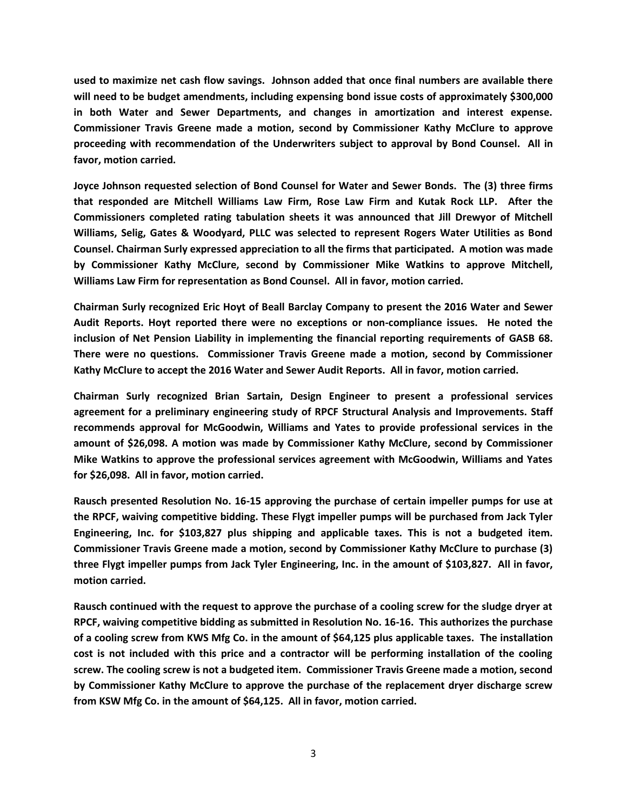**used to maximize net cash flow savings. Johnson added that once final numbers are available there will need to be budget amendments, including expensing bond issue costs of approximately \$300,000 in both Water and Sewer Departments, and changes in amortization and interest expense. Commissioner Travis Greene made a motion, second by Commissioner Kathy McClure to approve proceeding with recommendation of the Underwriters subject to approval by Bond Counsel. All in favor, motion carried.**

**Joyce Johnson requested selection of Bond Counsel for Water and Sewer Bonds. The (3) three firms that responded are Mitchell Williams Law Firm, Rose Law Firm and Kutak Rock LLP. After the Commissioners completed rating tabulation sheets it was announced that Jill Drewyor of Mitchell Williams, Selig, Gates & Woodyard, PLLC was selected to represent Rogers Water Utilities as Bond Counsel. Chairman Surly expressed appreciation to all the firms that participated. A motion was made by Commissioner Kathy McClure, second by Commissioner Mike Watkins to approve Mitchell, Williams Law Firm for representation as Bond Counsel. All in favor, motion carried.**

**Chairman Surly recognized Eric Hoyt of Beall Barclay Company to present the 2016 Water and Sewer Audit Reports. Hoyt reported there were no exceptions or non-compliance issues. He noted the inclusion of Net Pension Liability in implementing the financial reporting requirements of GASB 68. There were no questions. Commissioner Travis Greene made a motion, second by Commissioner Kathy McClure to accept the 2016 Water and Sewer Audit Reports. All in favor, motion carried.**

**Chairman Surly recognized Brian Sartain, Design Engineer to present a professional services agreement for a preliminary engineering study of RPCF Structural Analysis and Improvements. Staff recommends approval for McGoodwin, Williams and Yates to provide professional services in the amount of \$26,098. A motion was made by Commissioner Kathy McClure, second by Commissioner Mike Watkins to approve the professional services agreement with McGoodwin, Williams and Yates for \$26,098. All in favor, motion carried.**

**Rausch presented Resolution No. 16-15 approving the purchase of certain impeller pumps for use at the RPCF, waiving competitive bidding. These Flygt impeller pumps will be purchased from Jack Tyler Engineering, Inc. for \$103,827 plus shipping and applicable taxes. This is not a budgeted item. Commissioner Travis Greene made a motion, second by Commissioner Kathy McClure to purchase (3) three Flygt impeller pumps from Jack Tyler Engineering, Inc. in the amount of \$103,827. All in favor, motion carried.**

**Rausch continued with the request to approve the purchase of a cooling screw for the sludge dryer at RPCF, waiving competitive bidding as submitted in Resolution No. 16-16. This authorizes the purchase of a cooling screw from KWS Mfg Co. in the amount of \$64,125 plus applicable taxes. The installation cost is not included with this price and a contractor will be performing installation of the cooling screw. The cooling screw is not a budgeted item. Commissioner Travis Greene made a motion, second by Commissioner Kathy McClure to approve the purchase of the replacement dryer discharge screw from KSW Mfg Co. in the amount of \$64,125. All in favor, motion carried.**